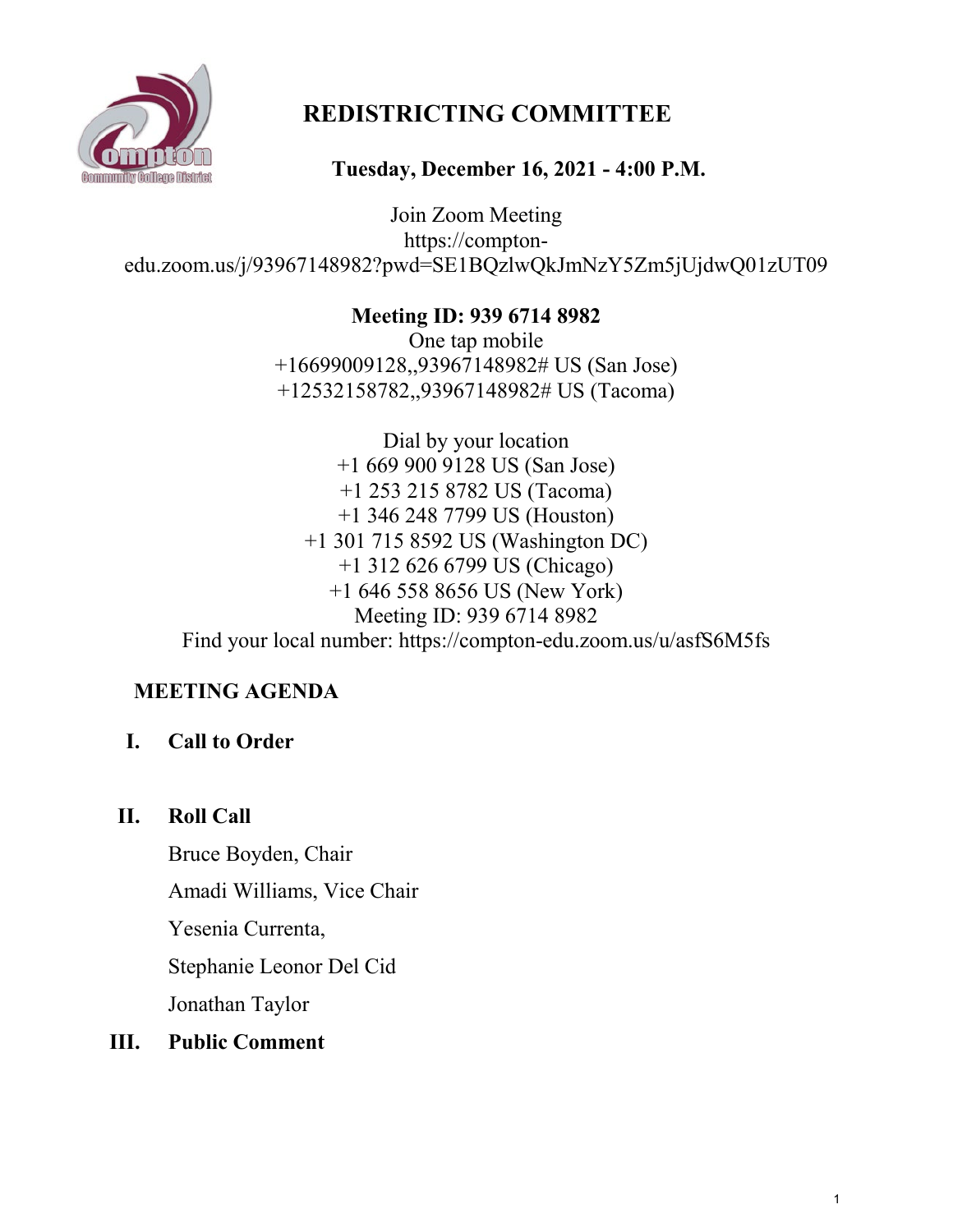

# **REDISTRICTING COMMITTEE**

**Tuesday, December 16, 2021 - 4:00 P.M.**

Join Zoom Meeting [https://compton](https://compton-edu.zoom.us/j/93967148982?pwd=SE1BQzlwQkJmNzY5Zm5jUjdwQ01zUT09)[edu.zoom.us/j/93967148982?pwd=SE1BQzlwQkJmNzY5Zm5jUjdwQ01zUT09](https://compton-edu.zoom.us/j/93967148982?pwd=SE1BQzlwQkJmNzY5Zm5jUjdwQ01zUT09)

# **Meeting ID: 939 6714 8982**

One tap mobile +16699009128,,93967148982# US (San Jose) +12532158782,,93967148982# US (Tacoma)

Dial by your location +1 669 900 9128 US (San Jose) +1 253 215 8782 US (Tacoma) +1 346 248 7799 US (Houston) +1 301 715 8592 US (Washington DC) +1 312 626 6799 US (Chicago) +1 646 558 8656 US (New York) Meeting ID: 939 6714 8982 Find your local number:<https://compton-edu.zoom.us/u/asfS6M5fs>

# **MEETING AGENDA**

# **I. Call to Order**

## **II. Roll Call**

Bruce Boyden, Chair

Amadi Williams, Vice Chair

Yesenia Currenta,

Stephanie Leonor Del Cid

Jonathan Taylor

## **III. Public Comment**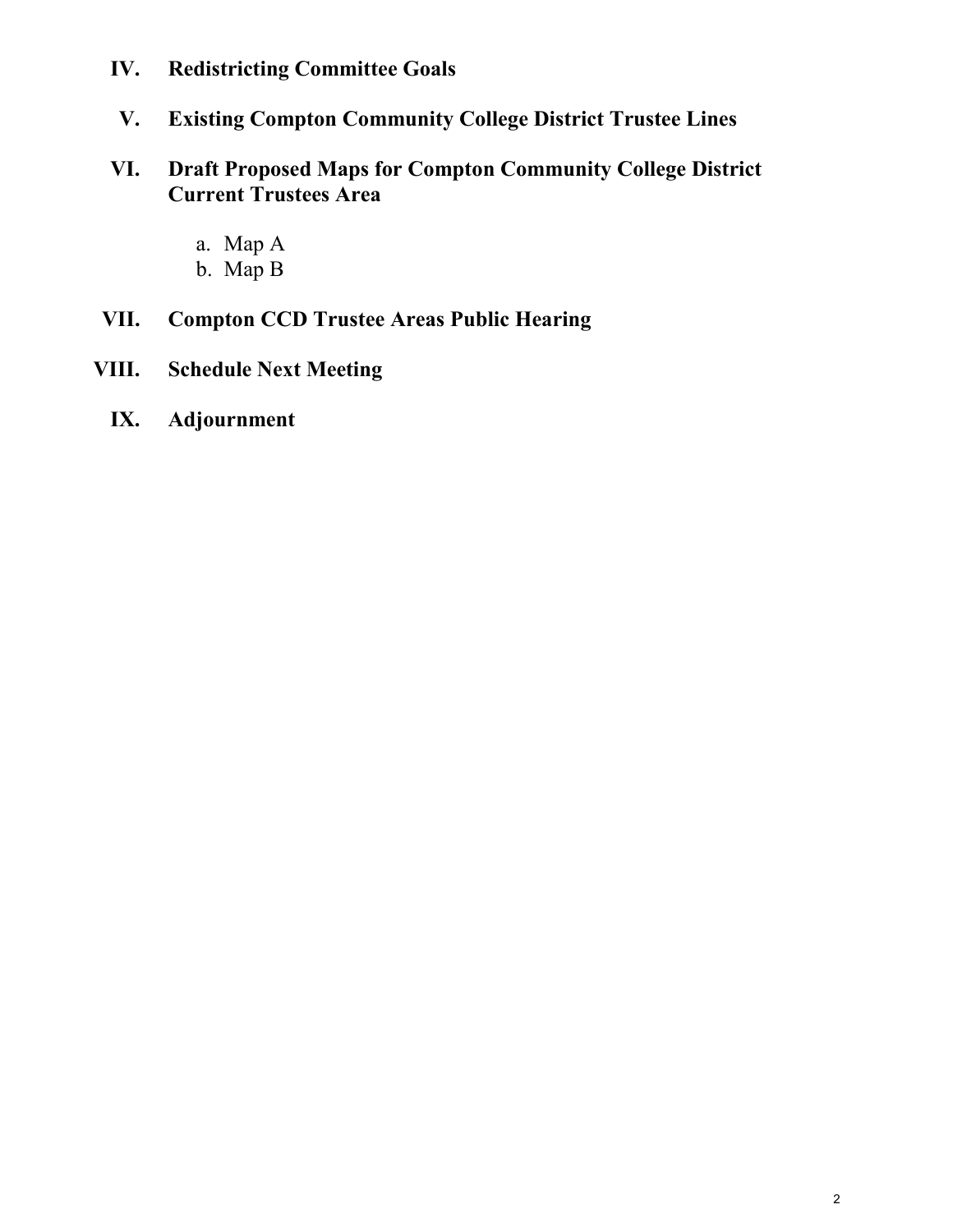- **IV. Redistricting Committee Goals**
- **V. Existing Compton Community College District Trustee Lines**
- **VI. Draft Proposed Maps for Compton Community College District Current Trustees Area**
	- a. Map A
	- b. Map B
- **VII. Compton CCD Trustee Areas Public Hearing**
- **VIII. Schedule Next Meeting**
	- **IX. Adjournment**